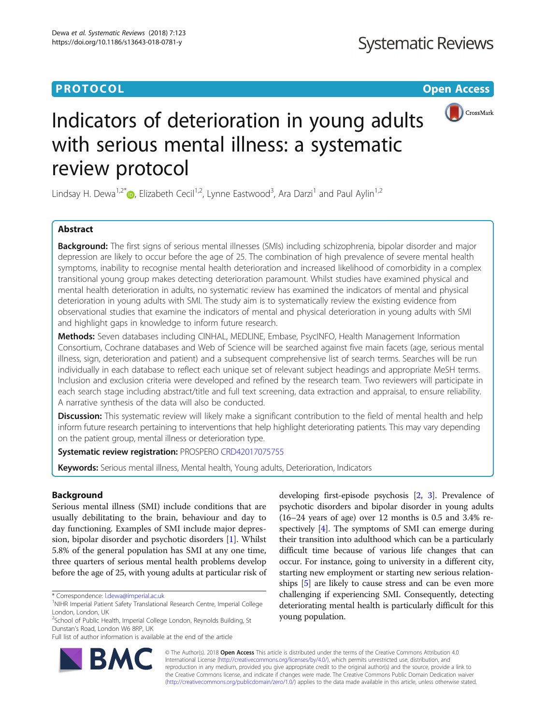# **PROTOCOL CONSUMING THE OPEN ACCESS**



# Indicators of deterioration in young adults with serious mental illness: a systematic review protocol

Lindsay H. Dewa<sup>1,2[\\*](http://orcid.org/0000-0001-8359-8834)</sup> (D, Elizabeth Cecil<sup>1,2</sup>, Lynne Eastwood<sup>3</sup>, Ara Darzi<sup>1</sup> and Paul Aylin<sup>1,2</sup>

# Abstract

Background: The first signs of serious mental illnesses (SMIs) including schizophrenia, bipolar disorder and major depression are likely to occur before the age of 25. The combination of high prevalence of severe mental health symptoms, inability to recognise mental health deterioration and increased likelihood of comorbidity in a complex transitional young group makes detecting deterioration paramount. Whilst studies have examined physical and mental health deterioration in adults, no systematic review has examined the indicators of mental and physical deterioration in young adults with SMI. The study aim is to systematically review the existing evidence from observational studies that examine the indicators of mental and physical deterioration in young adults with SMI and highlight gaps in knowledge to inform future research.

Methods: Seven databases including CINHAL, MEDLINE, Embase, PsycINFO, Health Management Information Consortium, Cochrane databases and Web of Science will be searched against five main facets (age, serious mental illness, sign, deterioration and patient) and a subsequent comprehensive list of search terms. Searches will be run individually in each database to reflect each unique set of relevant subject headings and appropriate MeSH terms. Inclusion and exclusion criteria were developed and refined by the research team. Two reviewers will participate in each search stage including abstract/title and full text screening, data extraction and appraisal, to ensure reliability. A narrative synthesis of the data will also be conducted.

Discussion: This systematic review will likely make a significant contribution to the field of mental health and help inform future research pertaining to interventions that help highlight deteriorating patients. This may vary depending on the patient group, mental illness or deterioration type.

Systematic review registration: PROSPERO [CRD42017075755](http://www.crd.york.ac.uk/PROSPERO/display_record.php?ID=CRD42017075755)

Keywords: Serious mental illness, Mental health, Young adults, Deterioration, Indicators

# Background

Serious mental illness (SMI) include conditions that are usually debilitating to the brain, behaviour and day to day functioning. Examples of SMI include major depression, bipolar disorder and psychotic disorders [[1\]](#page-5-0). Whilst 5.8% of the general population has SMI at any one time, three quarters of serious mental health problems develop before the age of 25, with young adults at particular risk of developing first-episode psychosis [\[2](#page-5-0), [3\]](#page-5-0). Prevalence of psychotic disorders and bipolar disorder in young adults (16–24 years of age) over 12 months is 0.5 and 3.4% respectively [\[4](#page-5-0)]. The symptoms of SMI can emerge during their transition into adulthood which can be a particularly difficult time because of various life changes that can occur. For instance, going to university in a different city, starting new employment or starting new serious relationships [[5](#page-5-0)] are likely to cause stress and can be even more challenging if experiencing SMI. Consequently, detecting deteriorating mental health is particularly difficult for this young population.



© The Author(s). 2018 Open Access This article is distributed under the terms of the Creative Commons Attribution 4.0 International License [\(http://creativecommons.org/licenses/by/4.0/](http://creativecommons.org/licenses/by/4.0/)), which permits unrestricted use, distribution, and reproduction in any medium, provided you give appropriate credit to the original author(s) and the source, provide a link to the Creative Commons license, and indicate if changes were made. The Creative Commons Public Domain Dedication waiver [\(http://creativecommons.org/publicdomain/zero/1.0/](http://creativecommons.org/publicdomain/zero/1.0/)) applies to the data made available in this article, unless otherwise stated.

<sup>\*</sup> Correspondence: [l.dewa@imperial.ac.uk](mailto:l.dewa@imperial.ac.uk) <sup>1</sup>

<sup>&</sup>lt;sup>1</sup>NIHR Imperial Patient Safety Translational Research Centre, Imperial College London, London, UK

<sup>&</sup>lt;sup>2</sup>School of Public Health, Imperial College London, Reynolds Building, St Dunstan's Road, London W6 8RP, UK

Full list of author information is available at the end of the article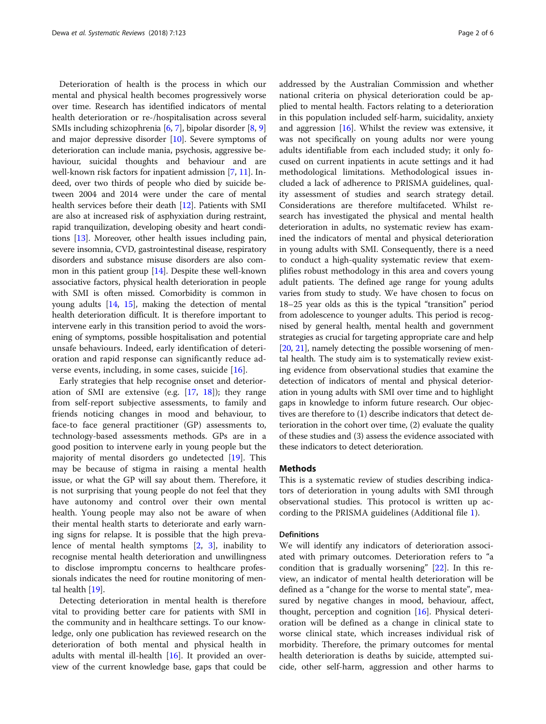Deterioration of health is the process in which our mental and physical health becomes progressively worse over time. Research has identified indicators of mental health deterioration or re-/hospitalisation across several SMIs including schizophrenia [\[6](#page-5-0), [7\]](#page-5-0), bipolar disorder [\[8,](#page-5-0) [9](#page-5-0)] and major depressive disorder [\[10](#page-5-0)]. Severe symptoms of deterioration can include mania, psychosis, aggressive behaviour, suicidal thoughts and behaviour and are well-known risk factors for inpatient admission [\[7](#page-5-0), [11\]](#page-5-0). Indeed, over two thirds of people who died by suicide between 2004 and 2014 were under the care of mental health services before their death [[12](#page-5-0)]. Patients with SMI are also at increased risk of asphyxiation during restraint, rapid tranquilization, developing obesity and heart conditions [[13](#page-5-0)]. Moreover, other health issues including pain, severe insomnia, CVD, gastrointestinal disease, respiratory disorders and substance misuse disorders are also common in this patient group [\[14\]](#page-5-0). Despite these well-known associative factors, physical health deterioration in people with SMI is often missed. Comorbidity is common in young adults [\[14](#page-5-0), [15\]](#page-5-0), making the detection of mental health deterioration difficult. It is therefore important to intervene early in this transition period to avoid the worsening of symptoms, possible hospitalisation and potential unsafe behaviours. Indeed, early identification of deterioration and rapid response can significantly reduce adverse events, including, in some cases, suicide [[16\]](#page-5-0).

Early strategies that help recognise onset and deterioration of SMI are extensive (e.g. [\[17](#page-5-0), [18](#page-5-0)]); they range from self-report subjective assessments, to family and friends noticing changes in mood and behaviour, to face-to face general practitioner (GP) assessments to, technology-based assessments methods. GPs are in a good position to intervene early in young people but the majority of mental disorders go undetected [\[19](#page-5-0)]. This may be because of stigma in raising a mental health issue, or what the GP will say about them. Therefore, it is not surprising that young people do not feel that they have autonomy and control over their own mental health. Young people may also not be aware of when their mental health starts to deteriorate and early warning signs for relapse. It is possible that the high prevalence of mental health symptoms [\[2](#page-5-0), [3](#page-5-0)], inability to recognise mental health deterioration and unwillingness to disclose impromptu concerns to healthcare professionals indicates the need for routine monitoring of mental health [[19](#page-5-0)].

Detecting deterioration in mental health is therefore vital to providing better care for patients with SMI in the community and in healthcare settings. To our knowledge, only one publication has reviewed research on the deterioration of both mental and physical health in adults with mental ill-health [[16](#page-5-0)]. It provided an overview of the current knowledge base, gaps that could be addressed by the Australian Commission and whether national criteria on physical deterioration could be applied to mental health. Factors relating to a deterioration in this population included self-harm, suicidality, anxiety and aggression [\[16](#page-5-0)]. Whilst the review was extensive, it was not specifically on young adults nor were young adults identifiable from each included study; it only focused on current inpatients in acute settings and it had methodological limitations. Methodological issues included a lack of adherence to PRISMA guidelines, quality assessment of studies and search strategy detail. Considerations are therefore multifaceted. Whilst research has investigated the physical and mental health deterioration in adults, no systematic review has examined the indicators of mental and physical deterioration in young adults with SMI. Consequently, there is a need to conduct a high-quality systematic review that exemplifies robust methodology in this area and covers young adult patients. The defined age range for young adults varies from study to study. We have chosen to focus on 18–25 year olds as this is the typical "transition" period from adolescence to younger adults. This period is recognised by general health, mental health and government strategies as crucial for targeting appropriate care and help [[20](#page-5-0), [21](#page-5-0)], namely detecting the possible worsening of mental health. The study aim is to systematically review existing evidence from observational studies that examine the detection of indicators of mental and physical deterioration in young adults with SMI over time and to highlight gaps in knowledge to inform future research. Our objectives are therefore to (1) describe indicators that detect deterioration in the cohort over time, (2) evaluate the quality of these studies and (3) assess the evidence associated with these indicators to detect deterioration.

# **Methods**

This is a systematic review of studies describing indicators of deterioration in young adults with SMI through observational studies. This protocol is written up according to the PRISMA guidelines (Additional file [1](#page-4-0)).

## Definitions

We will identify any indicators of deterioration associated with primary outcomes. Deterioration refers to "a condition that is gradually worsening" [[22](#page-5-0)]. In this review, an indicator of mental health deterioration will be defined as a "change for the worse to mental state", measured by negative changes in mood, behaviour, affect, thought, perception and cognition [\[16](#page-5-0)]. Physical deterioration will be defined as a change in clinical state to worse clinical state, which increases individual risk of morbidity. Therefore, the primary outcomes for mental health deterioration is deaths by suicide, attempted suicide, other self-harm, aggression and other harms to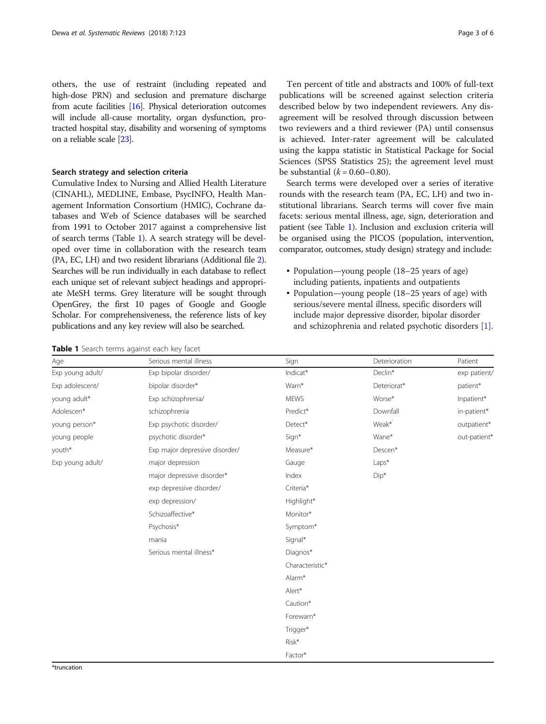others, the use of restraint (including repeated and high-dose PRN) and seclusion and premature discharge from acute facilities [\[16\]](#page-5-0). Physical deterioration outcomes will include all-cause mortality, organ dysfunction, protracted hospital stay, disability and worsening of symptoms on a reliable scale [\[23\]](#page-5-0).

# Search strategy and selection criteria

Cumulative Index to Nursing and Allied Health Literature (CINAHL), MEDLINE, Embase, PsycINFO, Health Management Information Consortium (HMIC), Cochrane databases and Web of Science databases will be searched from 1991 to October 2017 against a comprehensive list of search terms (Table 1). A search strategy will be developed over time in collaboration with the research team (PA, EC, LH) and two resident librarians (Additional file [2](#page-4-0)). Searches will be run individually in each database to reflect each unique set of relevant subject headings and appropriate MeSH terms. Grey literature will be sought through OpenGrey, the first 10 pages of Google and Google Scholar. For comprehensiveness, the reference lists of key publications and any key review will also be searched.

Ten percent of title and abstracts and 100% of full-text publications will be screened against selection criteria described below by two independent reviewers. Any disagreement will be resolved through discussion between two reviewers and a third reviewer (PA) until consensus is achieved. Inter-rater agreement will be calculated using the kappa statistic in Statistical Package for Social Sciences (SPSS Statistics 25); the agreement level must be substantial ( $k = 0.60 - 0.80$ ).

Search terms were developed over a series of iterative rounds with the research team (PA, EC, LH) and two institutional librarians. Search terms will cover five main facets: serious mental illness, age, sign, deterioration and patient (see Table 1). Inclusion and exclusion criteria will be organised using the PICOS (population, intervention, comparator, outcomes, study design) strategy and include:

- Population—young people (18–25 years of age) including patients, inpatients and outpatients
- Population—young people (18–25 years of age) with serious/severe mental illness, specific disorders will include major depressive disorder, bipolar disorder and schizophrenia and related psychotic disorders [\[1\]](#page-5-0).

Table 1 Search terms against each key facet

| Age              | Serious mental illness         | Sign            | Deterioration | Patient      |
|------------------|--------------------------------|-----------------|---------------|--------------|
| Exp young adult/ | Exp bipolar disorder/          | Indicat*        | Declin*       | exp patient/ |
| Exp adolescent/  | bipolar disorder*              | Warn*           | Deteriorat*   | patient*     |
| young adult*     | Exp schizophrenia/             | <b>MEWS</b>     | Worse*        | Inpatient*   |
| Adolescen*       | schizophrenia                  | Predict*        | Downfall      | in-patient*  |
| young person*    | Exp psychotic disorder/        | Detect*         | Weak*         | outpatient*  |
| young people     | psychotic disorder*            | Sign*           | Wane*         | out-patient* |
| youth*           | Exp major depressive disorder/ | Measure*        | Descen*       |              |
| Exp young adult/ | major depression               | Gauge           | Laps*         |              |
|                  | major depressive disorder*     | Index           | $Dip^*$       |              |
|                  | exp depressive disorder/       | Criteria*       |               |              |
|                  | exp depression/                | Highlight*      |               |              |
|                  | Schizoaffective*               | Monitor*        |               |              |
|                  | Psychosis*                     | Symptom*        |               |              |
|                  | mania                          | Signal*         |               |              |
|                  | Serious mental illness*        | Diagnos*        |               |              |
|                  |                                | Characteristic* |               |              |
|                  |                                | Alarm*          |               |              |
|                  |                                | Alert*          |               |              |
|                  |                                | Caution*        |               |              |
|                  |                                | Forewarn*       |               |              |
|                  |                                | Trigger*        |               |              |
|                  |                                | Risk*           |               |              |
|                  |                                | Factor*         |               |              |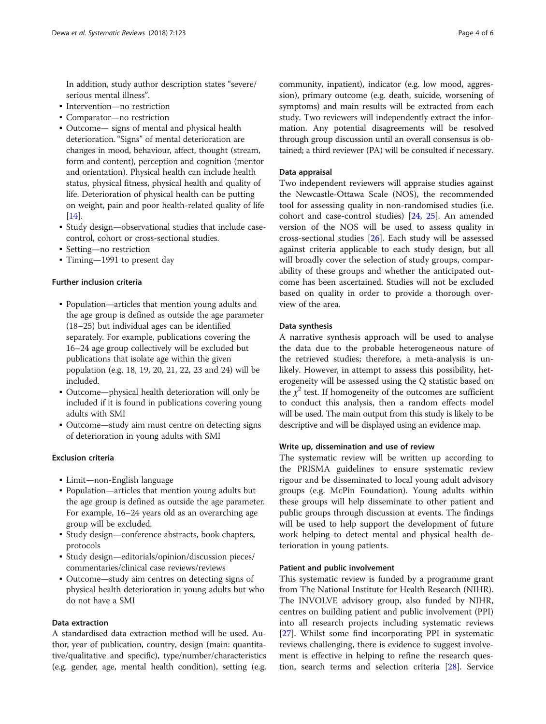In addition, study author description states "severe/ serious mental illness".

- Intervention—no restriction
- Comparator—no restriction
- Outcome— signs of mental and physical health deterioration. "Signs" of mental deterioration are changes in mood, behaviour, affect, thought (stream, form and content), perception and cognition (mentor and orientation). Physical health can include health status, physical fitness, physical health and quality of life. Deterioration of physical health can be putting on weight, pain and poor health-related quality of life [\[14\]](#page-5-0).
- Study design—observational studies that include casecontrol, cohort or cross-sectional studies.
- Setting—no restriction
- Timing—1991 to present day

# Further inclusion criteria

- Population—articles that mention young adults and the age group is defined as outside the age parameter (18–25) but individual ages can be identified separately. For example, publications covering the 16–24 age group collectively will be excluded but publications that isolate age within the given population (e.g. 18, 19, 20, 21, 22, 23 and 24) will be included.
- Outcome—physical health deterioration will only be included if it is found in publications covering young adults with SMI
- Outcome—study aim must centre on detecting signs of deterioration in young adults with SMI

### Exclusion criteria

- Limit—non-English language
- Population—articles that mention young adults but the age group is defined as outside the age parameter. For example, 16–24 years old as an overarching age group will be excluded.
- Study design—conference abstracts, book chapters, protocols
- Study design—editorials/opinion/discussion pieces/ commentaries/clinical case reviews/reviews
- Outcome—study aim centres on detecting signs of physical health deterioration in young adults but who do not have a SMI

# Data extraction

A standardised data extraction method will be used. Author, year of publication, country, design (main: quantitative/qualitative and specific), type/number/characteristics (e.g. gender, age, mental health condition), setting (e.g. community, inpatient), indicator (e.g. low mood, aggression), primary outcome (e.g. death, suicide, worsening of symptoms) and main results will be extracted from each study. Two reviewers will independently extract the information. Any potential disagreements will be resolved through group discussion until an overall consensus is obtained; a third reviewer (PA) will be consulted if necessary.

### Data appraisal

Two independent reviewers will appraise studies against the Newcastle-Ottawa Scale (NOS), the recommended tool for assessing quality in non-randomised studies (i.e. cohort and case-control studies) [[24,](#page-5-0) [25\]](#page-5-0). An amended version of the NOS will be used to assess quality in cross-sectional studies [\[26](#page-5-0)]. Each study will be assessed against criteria applicable to each study design, but all will broadly cover the selection of study groups, comparability of these groups and whether the anticipated outcome has been ascertained. Studies will not be excluded based on quality in order to provide a thorough overview of the area.

# Data synthesis

A narrative synthesis approach will be used to analyse the data due to the probable heterogeneous nature of the retrieved studies; therefore, a meta-analysis is unlikely. However, in attempt to assess this possibility, heterogeneity will be assessed using the Q statistic based on the  $\chi^2$  test. If homogeneity of the outcomes are sufficient to conduct this analysis, then a random effects model will be used. The main output from this study is likely to be descriptive and will be displayed using an evidence map.

# Write up, dissemination and use of review

The systematic review will be written up according to the PRISMA guidelines to ensure systematic review rigour and be disseminated to local young adult advisory groups (e.g. McPin Foundation). Young adults within these groups will help disseminate to other patient and public groups through discussion at events. The findings will be used to help support the development of future work helping to detect mental and physical health deterioration in young patients.

# Patient and public involvement

This systematic review is funded by a programme grant from The National Institute for Health Research (NIHR). The INVOLVE advisory group, also funded by NIHR, centres on building patient and public involvement (PPI) into all research projects including systematic reviews [[27\]](#page-5-0). Whilst some find incorporating PPI in systematic reviews challenging, there is evidence to suggest involvement is effective in helping to refine the research question, search terms and selection criteria [[28](#page-5-0)]. Service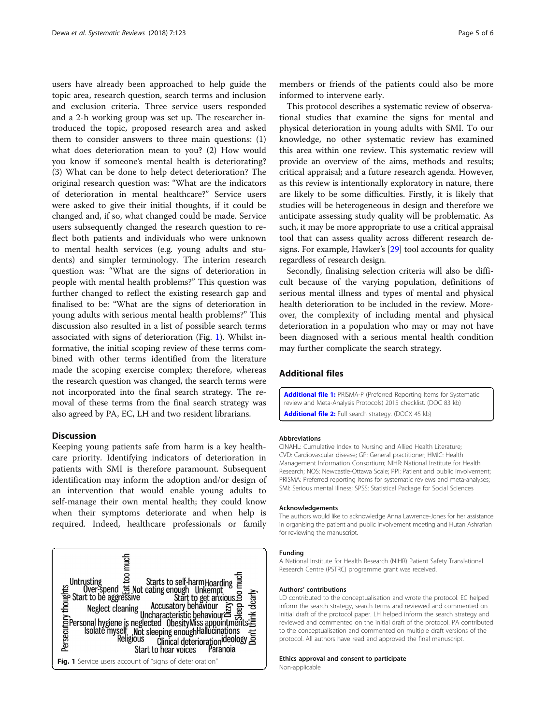<span id="page-4-0"></span>users have already been approached to help guide the topic area, research question, search terms and inclusion and exclusion criteria. Three service users responded and a 2-h working group was set up. The researcher introduced the topic, proposed research area and asked them to consider answers to three main questions: (1) what does deterioration mean to you? (2) How would you know if someone's mental health is deteriorating? (3) What can be done to help detect deterioration? The original research question was: "What are the indicators of deterioration in mental healthcare?" Service users were asked to give their initial thoughts, if it could be changed and, if so, what changed could be made. Service users subsequently changed the research question to reflect both patients and individuals who were unknown to mental health services (e.g. young adults and students) and simpler terminology. The interim research question was: "What are the signs of deterioration in people with mental health problems?" This question was further changed to reflect the existing research gap and finalised to be: "What are the signs of deterioration in young adults with serious mental health problems?" This discussion also resulted in a list of possible search terms associated with signs of deterioration (Fig. 1). Whilst informative, the initial scoping review of these terms combined with other terms identified from the literature made the scoping exercise complex; therefore, whereas the research question was changed, the search terms were not incorporated into the final search strategy. The removal of these terms from the final search strategy was also agreed by PA, EC, LH and two resident librarians.

# **Discussion**

Keeping young patients safe from harm is a key healthcare priority. Identifying indicators of deterioration in patients with SMI is therefore paramount. Subsequent identification may inform the adoption and/or design of an intervention that would enable young adults to self-manage their own mental health; they could know when their symptoms deteriorate and when help is required. Indeed, healthcare professionals or family



members or friends of the patients could also be more informed to intervene early.

This protocol describes a systematic review of observational studies that examine the signs for mental and physical deterioration in young adults with SMI. To our knowledge, no other systematic review has examined this area within one review. This systematic review will provide an overview of the aims, methods and results; critical appraisal; and a future research agenda. However, as this review is intentionally exploratory in nature, there are likely to be some difficulties. Firstly, it is likely that studies will be heterogeneous in design and therefore we anticipate assessing study quality will be problematic. As such, it may be more appropriate to use a critical appraisal tool that can assess quality across different research designs. For example, Hawker's [[29](#page-5-0)] tool accounts for quality regardless of research design.

Secondly, finalising selection criteria will also be difficult because of the varying population, definitions of serious mental illness and types of mental and physical health deterioration to be included in the review. Moreover, the complexity of including mental and physical deterioration in a population who may or may not have been diagnosed with a serious mental health condition may further complicate the search strategy.

## Additional files

[Additional file 1:](https://doi.org/10.1186/s13643-018-0781-y) PRISMA-P (Preferred Reporting Items for Systematic review and Meta-Analysis Protocols) 2015 checklist. (DOC 83 kb) [Additional file 2:](https://doi.org/10.1186/s13643-018-0781-y) Full search strategy. (DOCX 45 kb)

#### Abbreviations

CINAHL: Cumulative Index to Nursing and Allied Health Literature; CVD: Cardiovascular disease; GP: General practitioner; HMIC: Health Management Information Consortium; NIHR: National Institute for Health Research; NOS: Newcastle-Ottawa Scale; PPI: Patient and public involvement; PRISMA: Preferred reporting items for systematic reviews and meta-analyses; SMI: Serious mental illness; SPSS: Statistical Package for Social Sciences

#### Acknowledgements

The authors would like to acknowledge Anna Lawrence-Jones for her assistance in organising the patient and public involvement meeting and Hutan Ashrafian for reviewing the manuscript.

#### Funding

A National Institute for Health Research (NIHR) Patient Safety Translational Research Centre (PSTRC) programme grant was received.

#### Authors' contributions

LD contributed to the conceptualisation and wrote the protocol. EC helped inform the search strategy, search terms and reviewed and commented on initial draft of the protocol paper. LH helped inform the search strategy and reviewed and commented on the initial draft of the protocol. PA contributed to the conceptualisation and commented on multiple draft versions of the protocol. All authors have read and approved the final manuscript.

#### Ethics approval and consent to participate